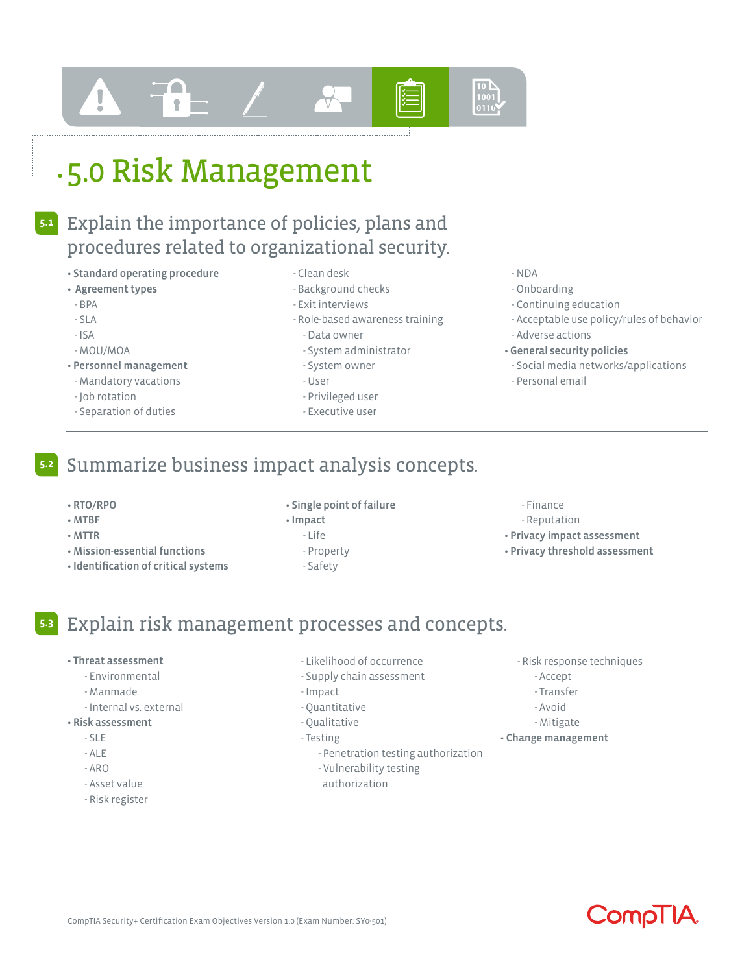# $\frac{1001}{0110}$

# **5.0 Risk Management**

#### Explain the importance of policies, plans and procedures related to organizational security. **5.1**

- Standard operating procedure
- Agreement types
- BPA
- SLA
- ISA
- MOU/MOA
- Personnel management
- Mandatory vacations
- Job rotation
- Separation of duties
- Clean desk
- Background checks
- Exit interviews
- Role-based awareness training
	- Data owner
	- System administrator
- System owner
- User
- Privileged user
- Executive user

#### - NDA

- Onboarding
- Continuing education
- Acceptable use policy/rules of behavior - Adverse actions
- General security policies
- Social media networks/applications
- Personal email

## Summarize business impact analysis concepts.

- RTO/RPO
- MTBF

**5.2**

- MTTR
- Mission-essential functions
- Identification of critical systems
- Single point of failure
- Impact
	- Life
	- Property
	- Safety
- Finance
- Reputation
- Privacy impact assessment
- Privacy threshold assessment

## Explain risk management processes and concepts. **5.3**

#### • Threat assessment

- Environmental
- Manmade
- Internal vs. external
- Risk assessment
	- SLE
	- ALE
	- ARO
	- Asset value
	- Risk register
- Likelihood of occurrence
- Supply chain assessment
- Impact
- Quantitative
- Qualitative
- Testing
	- Penetration testing authorization
	- Vulnerability testing
	- authorization
- Risk response techniques
	- Accept
	- Transfer
	- Avoid
	- Mitigate
- Change management